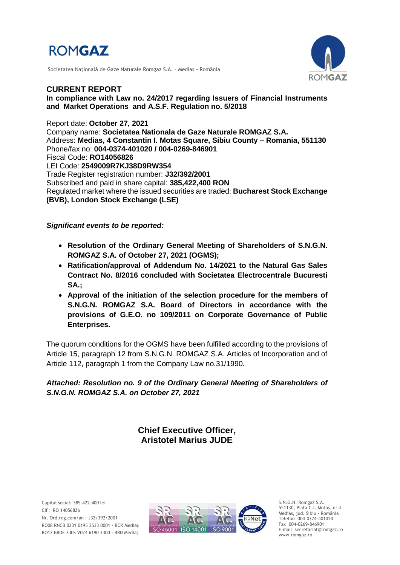

Societatea Naţională de Gaze Naturale Romgaz S.A. – Mediaş - România



**CURRENT REPORT In compliance with Law no. 24/2017 regarding Issuers of Financial Instruments and Market Operations and A.S.F. Regulation no. 5/2018**

Report date: **October 27, 2021** Company name: **Societatea Nationala de Gaze Naturale ROMGAZ S.A.** Address: **Medias, 4 Constantin I. Motas Square, Sibiu County – Romania, 551130** Phone/fax no: **004-0374-401020 / 004-0269-846901** Fiscal Code: **RO14056826** LEI Code: **2549009R7KJ38D9RW354** Trade Register registration number: **J32/392/2001** Subscribed and paid in share capital: **385,422,400 RON** Regulated market where the issued securities are traded: **Bucharest Stock Exchange (BVB), London Stock Exchange (LSE)**

#### *Significant events to be reported:*

- **Resolution of the Ordinary General Meeting of Shareholders of S.N.G.N. ROMGAZ S.A. of October 27, 2021 (OGMS);**
- **Ratification/approval of Addendum No. 14/2021 to the Natural Gas Sales Contract No. 8/2016 concluded with Societatea Electrocentrale Bucuresti SA.;**
- **Approval of the initiation of the selection procedure for the members of S.N.G.N. ROMGAZ S.A. Board of Directors in accordance with the provisions of G.E.O. no 109/2011 on Corporate Governance of Public Enterprises.**

The quorum conditions for the OGMS have been fulfilled according to the provisions of Article 15, paragraph 12 from S.N.G.N. ROMGAZ S.A. Articles of Incorporation and of Article 112, paragraph 1 from the Company Law no.31/1990.

*Attached: Resolution no. 9 of the Ordinary General Meeting of Shareholders of S.N.G.N. ROMGAZ S.A. on October 27, 2021*

> **Chief Executive Officer, Aristotel Marius JUDE**



S.N.G.N. Romgaz S.A. 551130, Piața C.I. Motaş, nr.4 Mediaş, jud. Sibiu - România Telefon 004-0374-401020 Fax 004-0269-846901 E-mail secretariat@romgaz.ro www.romgaz.ro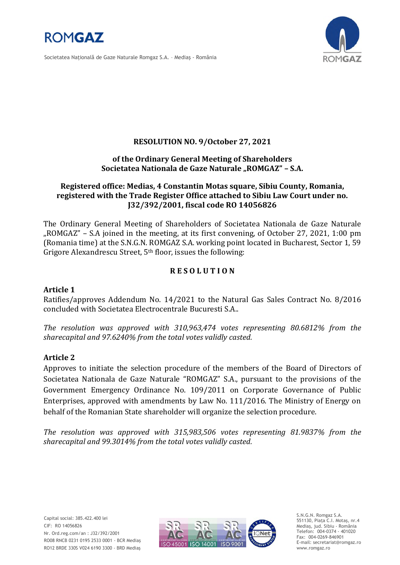

Societatea Naţională de Gaze Naturale Romgaz S.A. – Mediaş - România



# **RESOLUTION NO. 9/October 27, 2021**

#### **of the Ordinary General Meeting of Shareholders**  Societatea Nationala de Gaze Naturale "ROMGAZ" - S.A.

# **Registered office: Medias, 4 Constantin Motas square, Sibiu County, Romania, registered with the Trade Register Office attached to Sibiu Law Court under no. J32/392/2001, fiscal code RO 14056826**

The Ordinary General Meeting of Shareholders of Societatea Nationala de Gaze Naturale "ROMGAZ" – S.A joined in the meeting, at its first convening, of October 27, 2021, 1:00 pm (Romania time) at the S.N.G.N. ROMGAZ S.A. working point located in Bucharest, Sector 1, 59 Grigore Alexandrescu Street, 5<sup>th</sup> floor, issues the following:

# **R E S O L U T I O N**

### **Article 1**

Ratifies/approves Addendum No. 14/2021 to the Natural Gas Sales Contract No. 8/2016 concluded with Societatea Electrocentrale Bucuresti S.A..

*The resolution was approved with 310,963,474 votes representing 80.6812% from the sharecapital and 97.6240% from the total votes validly casted.*

### **Article 2**

Approves to initiate the selection procedure of the members of the Board of Directors of Societatea Nationala de Gaze Naturale "ROMGAZ" S.A., pursuant to the provisions of the Government Emergency Ordinance No. 109/2011 on Corporate Governance of Public Enterprises, approved with amendments by Law No. 111/2016. The Ministry of Energy on behalf of the Romanian State shareholder will organize the selection procedure.

*The resolution was approved with 315,983,506 votes representing 81.9837% from the sharecapital and 99.3014% from the total votes validly casted.*



S.N.G.N. Romgaz S.A. 551130, Piața C.I. Motaş, nr.4 Mediaş, jud. Sibiu - România Telefon: 004-0374 - 401020 Fax: 004-0269-846901 E-mail: secretariat@romgaz.ro www.romgaz.ro